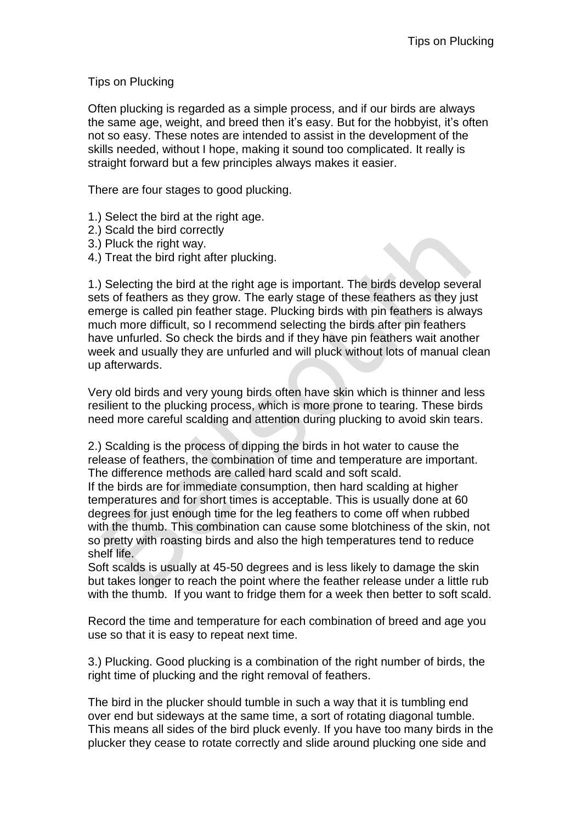Tips on Plucking

Often plucking is regarded as a simple process, and if our birds are always the same age, weight, and breed then it's easy. But for the hobbyist, it's often not so easy. These notes are intended to assist in the development of the skills needed, without I hope, making it sound too complicated. It really is straight forward but a few principles always makes it easier.

There are four stages to good plucking.

- 1.) Select the bird at the right age.
- 2.) Scald the bird correctly
- 3.) Pluck the right way.
- 4.) Treat the bird right after plucking.

1.) Selecting the bird at the right age is important. The birds develop several sets of feathers as they grow. The early stage of these feathers as they just emerge is called pin feather stage. Plucking birds with pin feathers is always much more difficult, so I recommend selecting the birds after pin feathers have unfurled. So check the birds and if they have pin feathers wait another week and usually they are unfurled and will pluck without lots of manual clean up afterwards.

Very old birds and very young birds often have skin which is thinner and less resilient to the plucking process, which is more prone to tearing. These birds need more careful scalding and attention during plucking to avoid skin tears.

2.) Scalding is the process of dipping the birds in hot water to cause the release of feathers, the combination of time and temperature are important. The difference methods are called hard scald and soft scald.

If the birds are for immediate consumption, then hard scalding at higher temperatures and for short times is acceptable. This is usually done at 60 degrees for just enough time for the leg feathers to come off when rubbed with the thumb. This combination can cause some blotchiness of the skin, not so pretty with roasting birds and also the high temperatures tend to reduce shelf life.

Soft scalds is usually at 45-50 degrees and is less likely to damage the skin but takes longer to reach the point where the feather release under a little rub with the thumb. If you want to fridge them for a week then better to soft scald.

Record the time and temperature for each combination of breed and age you use so that it is easy to repeat next time.

3.) Plucking. Good plucking is a combination of the right number of birds, the right time of plucking and the right removal of feathers.

The bird in the plucker should tumble in such a way that it is tumbling end over end but sideways at the same time, a sort of rotating diagonal tumble. This means all sides of the bird pluck evenly. If you have too many birds in the plucker they cease to rotate correctly and slide around plucking one side and